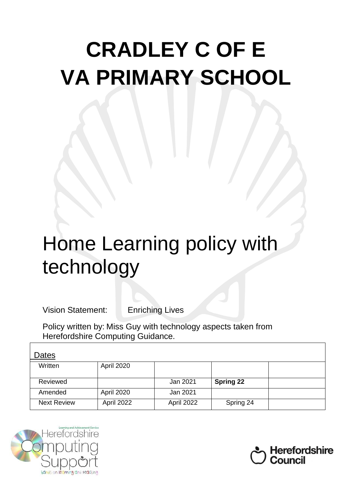# **CRADLEY C OF E VA PRIMARY SCHOOL**

# Home Learning policy with technology

Vision Statement: Enriching Lives

Policy written by: Miss Guy with technology aspects taken from Herefordshire Computing Guidance.

| Dates              |                   |            |                  |  |
|--------------------|-------------------|------------|------------------|--|
| Written            | <b>April 2020</b> |            |                  |  |
| Reviewed           |                   | Jan 2021   | <b>Spring 22</b> |  |
| Amended            | <b>April 2020</b> | Jan 2021   |                  |  |
| <b>Next Review</b> | April 2022        | April 2022 | Spring 24        |  |



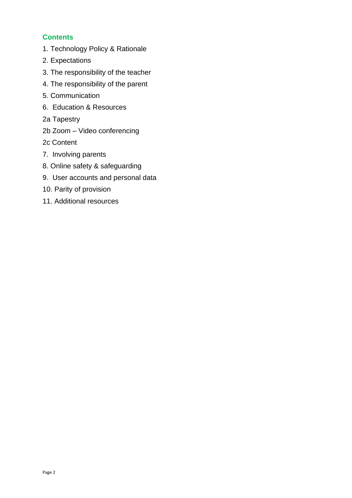# **Contents**

- 1. [Technology Policy & Rationale](#page-1-0)
- 2. Expectations
- 3. The responsibility of the teacher
- 4. The responsibility of the parent
- 5. Communication
- 6. [Education & Resources](#page-5-0)
- [2a Tapestry](#page-5-1)
- 2b Zoom [Video conferencing](#page-6-0)

[2c Content](#page-6-1)

- [7. Involving parents](#page-6-2)
- [8. Online safety & safeguarding](#page-7-0)
- 9. [User accounts and personal data](#page-8-0)
- [10. Parity of provision](#page-8-1)
- <span id="page-1-0"></span>11. Additional resources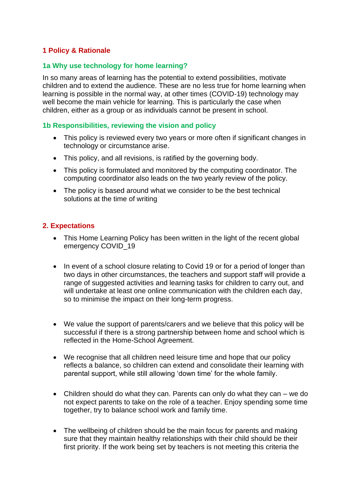# **1 Policy & Rationale**

#### **1a Why use technology for home learning?**

In so many areas of learning has the potential to extend possibilities, motivate children and to extend the audience. These are no less true for home learning when learning is possible in the normal way, at other times (COVID-19) technology may well become the main vehicle for learning. This is particularly the case when children, either as a group or as individuals cannot be present in school.

#### **1b Responsibilities, reviewing the vision and policy**

- This policy is reviewed every two years or more often if significant changes in technology or circumstance arise.
- This policy, and all revisions, is ratified by the governing body.
- This policy is formulated and monitored by the computing coordinator. The computing coordinator also leads on the two yearly review of the policy.
- The policy is based around what we consider to be the best technical solutions at the time of writing

#### **2. Expectations**

- This Home Learning Policy has been written in the light of the recent global emergency COVID\_19
- In event of a school closure relating to Covid 19 or for a period of longer than two days in other circumstances, the teachers and support staff will provide a range of suggested activities and learning tasks for children to carry out, and will undertake at least one online communication with the children each day, so to minimise the impact on their long-term progress.
- We value the support of parents/carers and we believe that this policy will be successful if there is a strong partnership between home and school which is reflected in the Home-School Agreement.
- We recognise that all children need leisure time and hope that our policy reflects a balance, so children can extend and consolidate their learning with parental support, while still allowing 'down time' for the whole family.
- Children should do what they can. Parents can only do what they can we do not expect parents to take on the role of a teacher. Enjoy spending some time together, try to balance school work and family time.
- The wellbeing of children should be the main focus for parents and making sure that they maintain healthy relationships with their child should be their first priority. If the work being set by teachers is not meeting this criteria the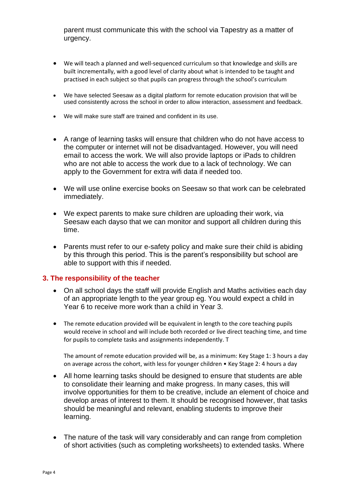parent must communicate this with the school via Tapestry as a matter of urgency.

- We will teach a planned and well-sequenced curriculum so that knowledge and skills are built incrementally, with a good level of clarity about what is intended to be taught and practised in each subject so that pupils can progress through the school's curriculum
- We have selected Seesaw as a digital platform for remote education provision that will be used consistently across the school in order to allow interaction, assessment and feedback.
- We will make sure staff are trained and confident in its use.
- A range of learning tasks will ensure that children who do not have access to the computer or internet will not be disadvantaged. However, you will need email to access the work. We will also provide laptops or iPads to children who are not able to access the work due to a lack of technology. We can apply to the Government for extra wifi data if needed too.
- We will use online exercise books on Seesaw so that work can be celebrated immediately.
- We expect parents to make sure children are uploading their work, via Seesaw each dayso that we can monitor and support all children during this time.
- Parents must refer to our e-safety policy and make sure their child is abiding by this through this period. This is the parent's responsibility but school are able to support with this if needed.

#### **3. The responsibility of the teacher**

- On all school days the staff will provide English and Maths activities each day of an appropriate length to the year group eg. You would expect a child in Year 6 to receive more work than a child in Year 3.
- The remote education provided will be equivalent in length to the core teaching pupils would receive in school and will include both recorded or live direct teaching time, and time for pupils to complete tasks and assignments independently. T

The amount of remote education provided will be, as a minimum: Key Stage 1: 3 hours a day on average across the cohort, with less for younger children • Key Stage 2: 4 hours a day

- All home learning tasks should be designed to ensure that students are able to consolidate their learning and make progress. In many cases, this will involve opportunities for them to be creative, include an element of choice and develop areas of interest to them. It should be recognised however, that tasks should be meaningful and relevant, enabling students to improve their learning.
- The nature of the task will vary considerably and can range from completion of short activities (such as completing worksheets) to extended tasks. Where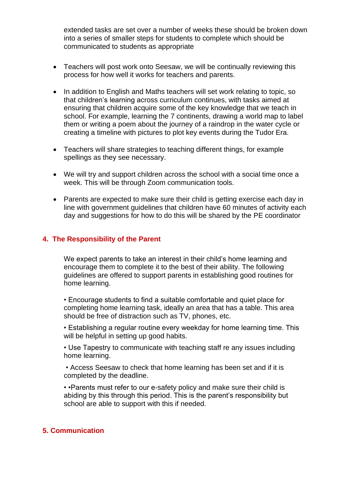extended tasks are set over a number of weeks these should be broken down into a series of smaller steps for students to complete which should be communicated to students as appropriate

- Teachers will post work onto Seesaw, we will be continually reviewing this process for how well it works for teachers and parents.
- In addition to English and Maths teachers will set work relating to topic, so that children's learning across curriculum continues, with tasks aimed at ensuring that children acquire some of the key knowledge that we teach in school. For example, learning the 7 continents, drawing a world map to label them or writing a poem about the journey of a raindrop in the water cycle or creating a timeline with pictures to plot key events during the Tudor Era.
- Teachers will share strategies to teaching different things, for example spellings as they see necessary.
- We will try and support children across the school with a social time once a week. This will be through Zoom communication tools.
- Parents are expected to make sure their child is getting exercise each day in line with government guidelines that children have 60 minutes of activity each day and suggestions for how to do this will be shared by the PE coordinator

#### **4. The Responsibility of the Parent**

We expect parents to take an interest in their child's home learning and encourage them to complete it to the best of their ability. The following guidelines are offered to support parents in establishing good routines for home learning.

• Encourage students to find a suitable comfortable and quiet place for completing home learning task, ideally an area that has a table. This area should be free of distraction such as TV, phones, etc.

• Establishing a regular routine every weekday for home learning time. This will be helpful in setting up good habits.

• Use Tapestry to communicate with teaching staff re any issues including home learning.

• Access Seesaw to check that home learning has been set and if it is completed by the deadline.

• •Parents must refer to our e-safety policy and make sure their child is abiding by this through this period. This is the parent's responsibility but school are able to support with this if needed.

#### **5. Communication**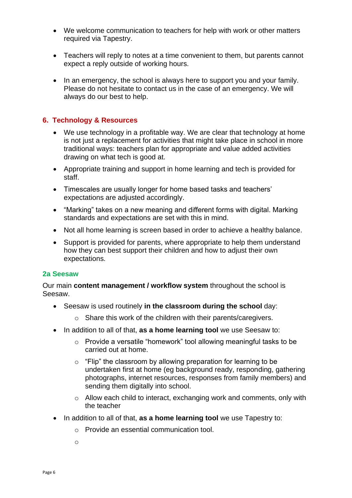- We welcome communication to teachers for help with work or other matters required via Tapestry.
- Teachers will reply to notes at a time convenient to them, but parents cannot expect a reply outside of working hours.
- In an emergency, the school is always here to support you and your family. Please do not hesitate to contact us in the case of an emergency. We will always do our best to help.

#### <span id="page-5-0"></span>**6. Technology & Resources**

- We use technology in a profitable way. We are clear that technology at home is not just a replacement for activities that might take place in school in more traditional ways: teachers plan for appropriate and value added activities drawing on what tech is good at.
- Appropriate training and support in home learning and tech is provided for staff.
- Timescales are usually longer for home based tasks and teachers' expectations are adjusted accordingly.
- "Marking" takes on a new meaning and different forms with digital. Marking standards and expectations are set with this in mind.
- Not all home learning is screen based in order to achieve a healthy balance.
- Support is provided for parents, where appropriate to help them understand how they can best support their children and how to adjust their own expectations.

#### <span id="page-5-1"></span>**2a Seesaw**

Our main **content management / workflow system** throughout the school is Seesaw.

- Seesaw is used routinely **in the classroom during the school** day:
	- o Share this work of the children with their parents/caregivers.
- In addition to all of that, **as a home learning tool** we use Seesaw to:
	- o Provide a versatile "homework" tool allowing meaningful tasks to be carried out at home.
	- $\circ$  "Flip" the classroom by allowing preparation for learning to be undertaken first at home (eg background ready, responding, gathering photographs, internet resources, responses from family members) and sending them digitally into school.
	- o Allow each child to interact, exchanging work and comments, only with the teacher
- In addition to all of that, **as a home learning tool** we use Tapestry to:
	- o Provide an essential communication tool.
	- o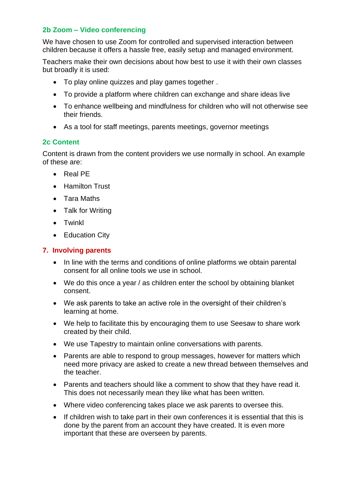# <span id="page-6-0"></span>**2b Zoom – Video conferencing**

We have chosen to use Zoom for controlled and supervised interaction between children because it offers a hassle free, easily setup and managed environment.

Teachers make their own decisions about how best to use it with their own classes but broadly it is used:

- To play online quizzes and play games together .
- To provide a platform where children can exchange and share ideas live
- To enhance wellbeing and mindfulness for children who will not otherwise see their friends.
- <span id="page-6-1"></span>• As a tool for staff meetings, parents meetings, governor meetings

# **2c Content**

Content is drawn from the content providers we use normally in school. An example of these are:

- Real PE
- Hamilton Trust
- Tara Maths
- Talk for Writing
- Twinkl
- Education City

## <span id="page-6-2"></span>**7. Involving parents**

- In line with the terms and conditions of online platforms we obtain parental consent for all online tools we use in school.
- We do this once a year / as children enter the school by obtaining blanket consent.
- We ask parents to take an active role in the oversight of their children's learning at home.
- We help to facilitate this by encouraging them to use Seesaw to share work created by their child.
- We use Tapestry to maintain online conversations with parents.
- Parents are able to respond to group messages, however for matters which need more privacy are asked to create a new thread between themselves and the teacher.
- Parents and teachers should like a comment to show that they have read it. This does not necessarily mean they like what has been written.
- Where video conferencing takes place we ask parents to oversee this.
- If children wish to take part in their own conferences it is essential that this is done by the parent from an account they have created. It is even more important that these are overseen by parents.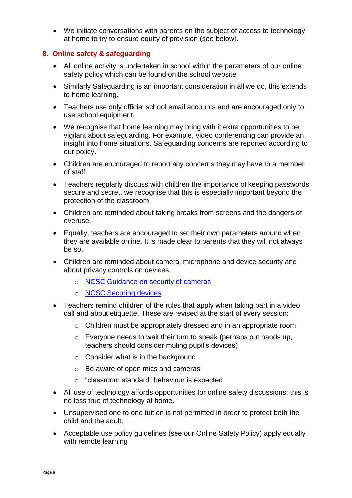• We initiate conversations with parents on the subject of access to technology at home to try to ensure equity of provision (see below).

# <span id="page-7-0"></span>**8. Online safety & safeguarding**

- All online activity is undertaken in school within the parameters of our online safety policy which can be found on the school website
- Similarly Safeguarding is an important consideration in all we do, this extends to home learning.
- Teachers use only official school email accounts and are encouraged only to use school equipment.
- We recognise that home learning may bring with it extra opportunities to be vigilant about safeguarding. For example, video conferencing can provide an insight into home situations. Safeguarding concerns are reported according to our policy.
- Children are encouraged to report any concerns they may have to a member of staff.
- Teachers regularly discuss with children the importance of keeping passwords secure and secret, we recognise that this is especially important beyond the protection of the classroom.
- Children are reminded about taking breaks from screens and the dangers of overuse.
- Equally, teachers are encouraged to set their own parameters around when they are available online. It is made clear to parents that they will not always be so.
- Children are reminded about camera, microphone and device security and about privacy controls on devices.
	- o [NCSC Guidance on security of cameras](https://www.ncsc.gov.uk/guidance/smart-security-cameras-using-them-safely-in-your-home)
	- o [NCSC Securing devices](https://www.ncsc.gov.uk/guidance/securing-your-devices)
- Teachers remind children of the rules that apply when taking part in a video call and about etiquette. These are revised at the start of every session:
	- $\circ$  Children must be appropriately dressed and in an appropriate room
	- o Everyone needs to wait their turn to speak (perhaps put hands up, teachers should consider muting pupil's devices)
	- $\circ$  Consider what is in the background
	- o Be aware of open mics and cameras
	- o "classroom standard" behaviour is expected
- All use of technology affords opportunities for online safety discussions; this is no less true of technology at home.
- Unsupervised one to one tuition is not permitted in order to protect both the child and the adult.
- Acceptable use policy guidelines (see our Online Safety Policy) apply equally with remote learning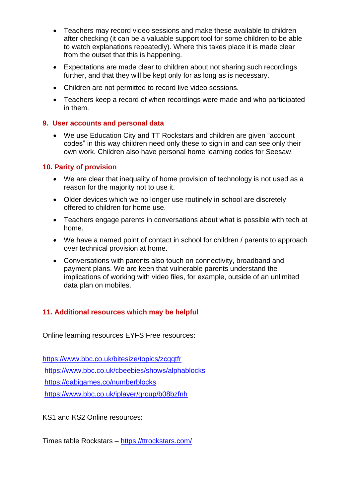- Teachers may record video sessions and make these available to children after checking (it can be a valuable support tool for some children to be able to watch explanations repeatedly). Where this takes place it is made clear from the outset that this is happening.
- Expectations are made clear to children about not sharing such recordings further, and that they will be kept only for as long as is necessary.
- Children are not permitted to record live video sessions.
- Teachers keep a record of when recordings were made and who participated in them.

#### <span id="page-8-0"></span>**9. User accounts and personal data**

• We use Education City and TT Rockstars and children are given "account codes" in this way children need only these to sign in and can see only their own work. Children also have personal home learning codes for Seesaw.

#### <span id="page-8-1"></span>**10. Parity of provision**

- We are clear that inequality of home provision of technology is not used as a reason for the majority not to use it.
- Older devices which we no longer use routinely in school are discretely offered to children for home use.
- Teachers engage parents in conversations about what is possible with tech at home.
- We have a named point of contact in school for children / parents to approach over technical provision at home.
- Conversations with parents also touch on connectivity, broadband and payment plans. We are keen that vulnerable parents understand the implications of working with video files, for example, outside of an unlimited data plan on mobiles.

# **11. Additional resources which may be helpful**

Online learning resources EYFS Free resources:

<https://www.bbc.co.uk/bitesize/topics/zcqqtfr> <https://www.bbc.co.uk/cbeebies/shows/alphablocks> <https://gabigames.co/numberblocks> <https://www.bbc.co.uk/iplayer/group/b08bzfnh>

KS1 and KS2 Online resources:

Times table Rockstars – <https://ttrockstars.com/>